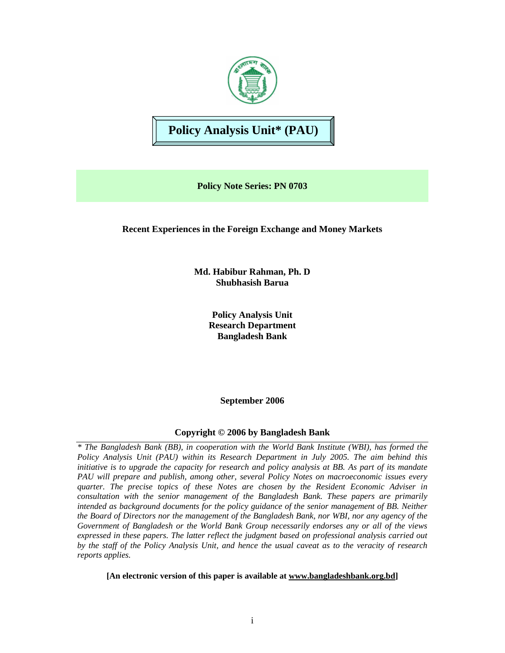

**Policy Analysis Unit\* (PAU)** 

**Policy Note Series: PN 0703** 

**Recent Experiences in the Foreign Exchange and Money Markets** 

**Md. Habibur Rahman, Ph. D Shubhasish Barua** 

> **Policy Analysis Unit Research Department Bangladesh Bank**

> > **September 2006**

# **Copyright © 2006 by Bangladesh Bank**

*\* The Bangladesh Bank (BB), in cooperation with the World Bank Institute (WBI), has formed the Policy Analysis Unit (PAU) within its Research Department in July 2005. The aim behind this initiative is to upgrade the capacity for research and policy analysis at BB. As part of its mandate PAU will prepare and publish, among other, several Policy Notes on macroeconomic issues every quarter. The precise topics of these Notes are chosen by the Resident Economic Adviser in consultation with the senior management of the Bangladesh Bank. These papers are primarily intended as background documents for the policy guidance of the senior management of BB. Neither the Board of Directors nor the management of the Bangladesh Bank, nor WBI, nor any agency of the Government of Bangladesh or the World Bank Group necessarily endorses any or all of the views expressed in these papers. The latter reflect the judgment based on professional analysis carried out by the staff of the Policy Analysis Unit, and hence the usual caveat as to the veracity of research reports applies.*

**[An electronic version of this paper is available at www.bangladeshbank.org.bd]**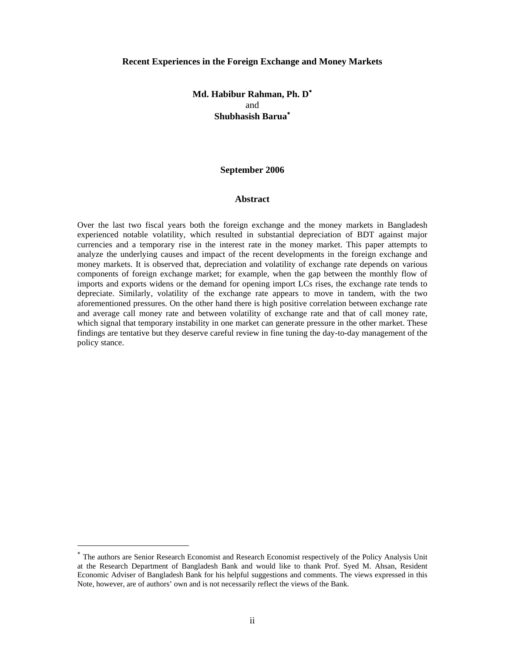#### **Recent Experiences in the Foreign Exchange and Money Markets**

# **Md. Habibur Rahman, Ph. D**<sup>∗</sup> and **Shubhasish Barua**<sup>∗</sup>

#### **September 2006**

#### **Abstract**

Over the last two fiscal years both the foreign exchange and the money markets in Bangladesh experienced notable volatility, which resulted in substantial depreciation of BDT against major currencies and a temporary rise in the interest rate in the money market. This paper attempts to analyze the underlying causes and impact of the recent developments in the foreign exchange and money markets. It is observed that, depreciation and volatility of exchange rate depends on various components of foreign exchange market; for example, when the gap between the monthly flow of imports and exports widens or the demand for opening import LCs rises, the exchange rate tends to depreciate. Similarly, volatility of the exchange rate appears to move in tandem, with the two aforementioned pressures. On the other hand there is high positive correlation between exchange rate and average call money rate and between volatility of exchange rate and that of call money rate, which signal that temporary instability in one market can generate pressure in the other market. These findings are tentative but they deserve careful review in fine tuning the day-to-day management of the policy stance.

-

<sup>∗</sup> The authors are Senior Research Economist and Research Economist respectively of the Policy Analysis Unit at the Research Department of Bangladesh Bank and would like to thank Prof. Syed M. Ahsan, Resident Economic Adviser of Bangladesh Bank for his helpful suggestions and comments. The views expressed in this Note, however, are of authors' own and is not necessarily reflect the views of the Bank.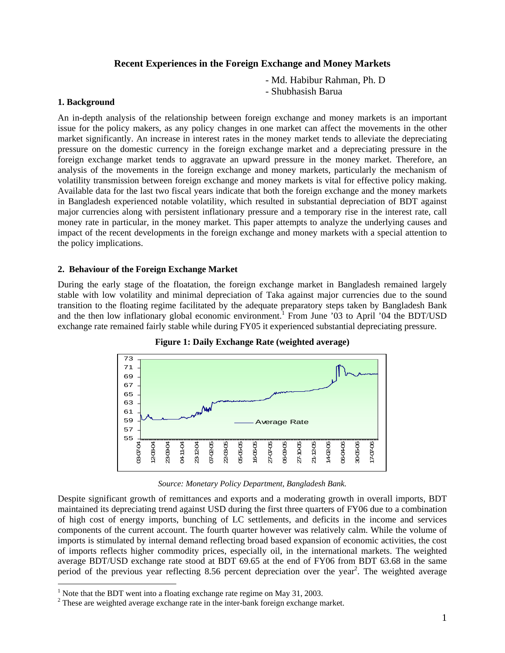# **Recent Experiences in the Foreign Exchange and Money Markets**

- Md. Habibur Rahman, Ph. D
- Shubhasish Barua

## **1. Background**

An in-depth analysis of the relationship between foreign exchange and money markets is an important issue for the policy makers, as any policy changes in one market can affect the movements in the other market significantly. An increase in interest rates in the money market tends to alleviate the depreciating pressure on the domestic currency in the foreign exchange market and a depreciating pressure in the foreign exchange market tends to aggravate an upward pressure in the money market. Therefore, an analysis of the movements in the foreign exchange and money markets, particularly the mechanism of volatility transmission between foreign exchange and money markets is vital for effective policy making. Available data for the last two fiscal years indicate that both the foreign exchange and the money markets in Bangladesh experienced notable volatility, which resulted in substantial depreciation of BDT against major currencies along with persistent inflationary pressure and a temporary rise in the interest rate, call money rate in particular, in the money market. This paper attempts to analyze the underlying causes and impact of the recent developments in the foreign exchange and money markets with a special attention to the policy implications.

## **2. Behaviour of the Foreign Exchange Market**

During the early stage of the floatation, the foreign exchange market in Bangladesh remained largely stable with low volatility and minimal depreciation of Taka against major currencies due to the sound transition to the floating regime facilitated by the adequate preparatory steps taken by Bangladesh Bank and the then low inflationary global economic environment.<sup>1</sup> From June  $'03$  to April '04 the BDT/USD exchange rate remained fairly stable while during FY05 it experienced substantial depreciating pressure.



**Figure 1: Daily Exchange Rate (weighted average)** 

*Source: Monetary Policy Department, Bangladesh Bank.*

Despite significant growth of remittances and exports and a moderating growth in overall imports, BDT maintained its depreciating trend against USD during the first three quarters of FY06 due to a combination of high cost of energy imports, bunching of LC settlements, and deficits in the income and services components of the current account. The fourth quarter however was relatively calm. While the volume of imports is stimulated by internal demand reflecting broad based expansion of economic activities, the cost of imports reflects higher commodity prices, especially oil, in the international markets. The weighted average BDT/USD exchange rate stood at BDT 69.65 at the end of FY06 from BDT 63.68 in the same period of the previous year reflecting 8.56 percent depreciation over the year<sup>2</sup>. The weighted average

<sup>&</sup>lt;sup>1</sup> Note that the BDT went into a floating exchange rate regime on May 31, 2003.

 $2$  These are weighted average exchange rate in the inter-bank foreign exchange market.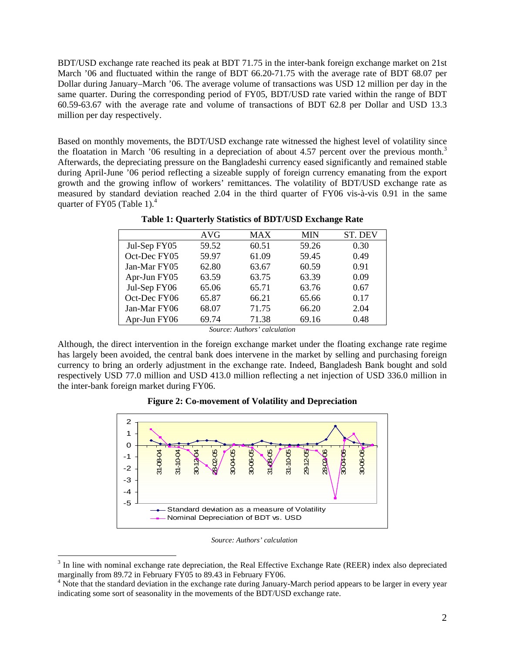BDT/USD exchange rate reached its peak at BDT 71.75 in the inter-bank foreign exchange market on 21st March '06 and fluctuated within the range of BDT 66.20-71.75 with the average rate of BDT 68.07 per Dollar during January–March '06. The average volume of transactions was USD 12 million per day in the same quarter. During the corresponding period of FY05, BDT/USD rate varied within the range of BDT 60.59-63.67 with the average rate and volume of transactions of BDT 62.8 per Dollar and USD 13.3 million per day respectively.

Based on monthly movements, the BDT/USD exchange rate witnessed the highest level of volatility since the floatation in March '06 resulting in a depreciation of about 4.57 percent over the previous month.<sup>3</sup> Afterwards, the depreciating pressure on the Bangladeshi currency eased significantly and remained stable during April-June '06 period reflecting a sizeable supply of foreign currency emanating from the export growth and the growing inflow of workers' remittances. The volatility of BDT/USD exchange rate as measured by standard deviation reached 2.04 in the third quarter of FY06 vis-à-vis 0.91 in the same quarter of FY05 (Table 1). $4$ 

|              | AVG    | MAX   | <b>MIN</b> | ST. DEV |
|--------------|--------|-------|------------|---------|
| Jul-Sep FY05 | 59.52  | 60.51 | 59.26      | 0.30    |
| Oct-Dec FY05 | 59.97  | 61.09 | 59.45      | 0.49    |
| Jan-Mar FY05 | 62.80  | 63.67 | 60.59      | 0.91    |
| Apr-Jun FY05 | 63.59  | 63.75 | 63.39      | 0.09    |
| Jul-Sep FY06 | 65.06  | 65.71 | 63.76      | 0.67    |
| Oct-Dec FY06 | 65.87  | 66.21 | 65.66      | 0.17    |
| Jan-Mar FY06 | 68.07  | 71.75 | 66.20      | 2.04    |
| Apr-Jun FY06 | 69.74  | 71.38 | 69.16      | 0.48    |
|              | $\sim$ | .     |            |         |

**Table 1: Quarterly Statistics of BDT/USD Exchange Rate** 

*Source: Authors' calculation* 

Although, the direct intervention in the foreign exchange market under the floating exchange rate regime has largely been avoided, the central bank does intervene in the market by selling and purchasing foreign currency to bring an orderly adjustment in the exchange rate. Indeed, Bangladesh Bank bought and sold respectively USD 77.0 million and USD 413.0 million reflecting a net injection of USD 336.0 million in the inter-bank foreign market during FY06.





*Source: Authors' calculation* 

<u>.</u>

<sup>3</sup> In line with nominal exchange rate depreciation, the Real Effective Exchange Rate (REER) index also depreciated marginally from 89.72 in February FY05 to 89.43 in February FY06.

<sup>&</sup>lt;sup>4</sup> Note that the standard deviation in the exchange rate during January-March period appears to be larger in every year indicating some sort of seasonality in the movements of the BDT/USD exchange rate.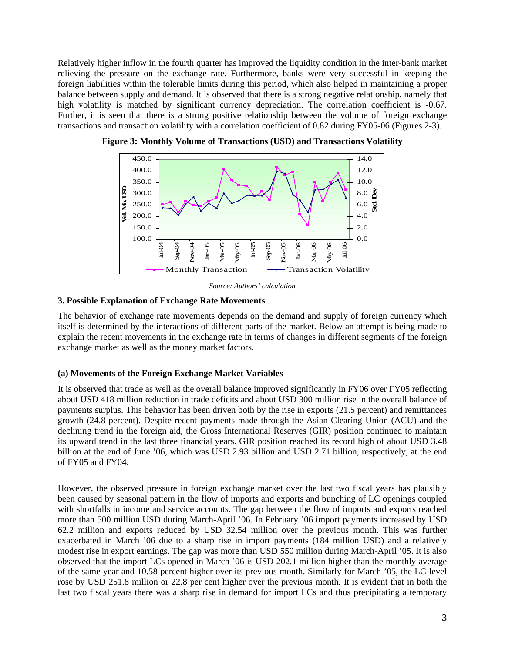Relatively higher inflow in the fourth quarter has improved the liquidity condition in the inter-bank market relieving the pressure on the exchange rate. Furthermore, banks were very successful in keeping the foreign liabilities within the tolerable limits during this period, which also helped in maintaining a proper balance between supply and demand. It is observed that there is a strong negative relationship, namely that high volatility is matched by significant currency depreciation. The correlation coefficient is -0.67. Further, it is seen that there is a strong positive relationship between the volume of foreign exchange transactions and transaction volatility with a correlation coefficient of 0.82 during FY05-06 (Figures 2-3).



**Figure 3: Monthly Volume of Transactions (USD) and Transactions Volatility** 

*Source: Authors' calculation* 

### **3. Possible Explanation of Exchange Rate Movements**

The behavior of exchange rate movements depends on the demand and supply of foreign currency which itself is determined by the interactions of different parts of the market. Below an attempt is being made to explain the recent movements in the exchange rate in terms of changes in different segments of the foreign exchange market as well as the money market factors.

# **(a) Movements of the Foreign Exchange Market Variables**

It is observed that trade as well as the overall balance improved significantly in FY06 over FY05 reflecting about USD 418 million reduction in trade deficits and about USD 300 million rise in the overall balance of payments surplus. This behavior has been driven both by the rise in exports (21.5 percent) and remittances growth (24.8 percent). Despite recent payments made through the Asian Clearing Union (ACU) and the declining trend in the foreign aid, the Gross International Reserves (GIR) position continued to maintain its upward trend in the last three financial years. GIR position reached its record high of about USD 3.48 billion at the end of June '06, which was USD 2.93 billion and USD 2.71 billion, respectively, at the end of FY05 and FY04.

However, the observed pressure in foreign exchange market over the last two fiscal years has plausibly been caused by seasonal pattern in the flow of imports and exports and bunching of LC openings coupled with shortfalls in income and service accounts. The gap between the flow of imports and exports reached more than 500 million USD during March-April '06. In February '06 import payments increased by USD 62.2 million and exports reduced by USD 32.54 million over the previous month. This was further exacerbated in March '06 due to a sharp rise in import payments (184 million USD) and a relatively modest rise in export earnings. The gap was more than USD 550 million during March-April '05. It is also observed that the import LCs opened in March '06 is USD 202.1 million higher than the monthly average of the same year and 10.58 percent higher over its previous month. Similarly for March '05, the LC-level rose by USD 251.8 million or 22.8 per cent higher over the previous month. It is evident that in both the last two fiscal years there was a sharp rise in demand for import LCs and thus precipitating a temporary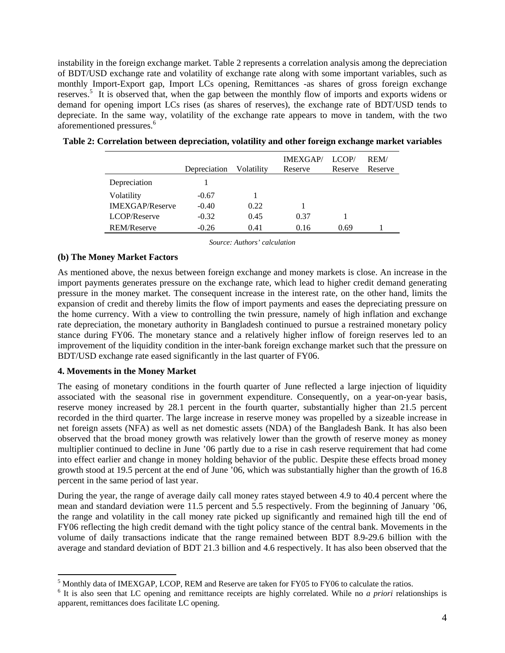instability in the foreign exchange market. Table 2 represents a correlation analysis among the depreciation of BDT/USD exchange rate and volatility of exchange rate along with some important variables, such as monthly Import-Export gap, Import LCs opening, Remittances -as shares of gross foreign exchange reserves.<sup>5</sup> It is observed that, when the gap between the monthly flow of imports and exports widens or demand for opening import LCs rises (as shares of reserves), the exchange rate of BDT/USD tends to depreciate. In the same way, volatility of the exchange rate appears to move in tandem, with the two aforementioned pressures.<sup>6</sup>

|                        | Depreciation | Volatilitv | <b>IMEXGAP</b><br>Reserve | LCOP/<br>Reserve | REM/<br>Reserve |
|------------------------|--------------|------------|---------------------------|------------------|-----------------|
| Depreciation           |              |            |                           |                  |                 |
| Volatility             | $-0.67$      |            |                           |                  |                 |
| <b>IMEXGAP/Reserve</b> | $-0.40$      | 0.22       |                           |                  |                 |
| LCOP/Reserve           | $-0.32$      | 0.45       | 0.37                      |                  |                 |
| <b>REM/Reserve</b>     | $-0.26$      | 0.41       | 0.16                      | 0.69             |                 |

| Table 2: Correlation between depreciation, volatility and other foreign exchange market variables |  |  |  |  |
|---------------------------------------------------------------------------------------------------|--|--|--|--|
|                                                                                                   |  |  |  |  |

*Source: Authors' calculation*

### **(b) The Money Market Factors**

As mentioned above, the nexus between foreign exchange and money markets is close. An increase in the import payments generates pressure on the exchange rate, which lead to higher credit demand generating pressure in the money market. The consequent increase in the interest rate, on the other hand, limits the expansion of credit and thereby limits the flow of import payments and eases the depreciating pressure on the home currency. With a view to controlling the twin pressure, namely of high inflation and exchange rate depreciation, the monetary authority in Bangladesh continued to pursue a restrained monetary policy stance during FY06. The monetary stance and a relatively higher inflow of foreign reserves led to an improvement of the liquidity condition in the inter-bank foreign exchange market such that the pressure on BDT/USD exchange rate eased significantly in the last quarter of FY06.

#### **4. Movements in the Money Market**

1

The easing of monetary conditions in the fourth quarter of June reflected a large injection of liquidity associated with the seasonal rise in government expenditure. Consequently, on a year-on-year basis, reserve money increased by 28.1 percent in the fourth quarter, substantially higher than 21.5 percent recorded in the third quarter. The large increase in reserve money was propelled by a sizeable increase in net foreign assets (NFA) as well as net domestic assets (NDA) of the Bangladesh Bank. It has also been observed that the broad money growth was relatively lower than the growth of reserve money as money multiplier continued to decline in June '06 partly due to a rise in cash reserve requirement that had come into effect earlier and change in money holding behavior of the public. Despite these effects broad money growth stood at 19.5 percent at the end of June '06, which was substantially higher than the growth of 16.8 percent in the same period of last year.

During the year, the range of average daily call money rates stayed between 4.9 to 40.4 percent where the mean and standard deviation were 11.5 percent and 5.5 respectively. From the beginning of January '06, the range and volatility in the call money rate picked up significantly and remained high till the end of FY06 reflecting the high credit demand with the tight policy stance of the central bank. Movements in the volume of daily transactions indicate that the range remained between BDT 8.9-29.6 billion with the average and standard deviation of BDT 21.3 billion and 4.6 respectively. It has also been observed that the

<sup>&</sup>lt;sup>5</sup> Monthly data of IMEXGAP, LCOP, REM and Reserve are taken for FY05 to FY06 to calculate the ratios.

<sup>&</sup>lt;sup>6</sup> It is also seen that LC opening and remittance receipts are highly correlated. While no *a priori* relationships is apparent, remittances does facilitate LC opening.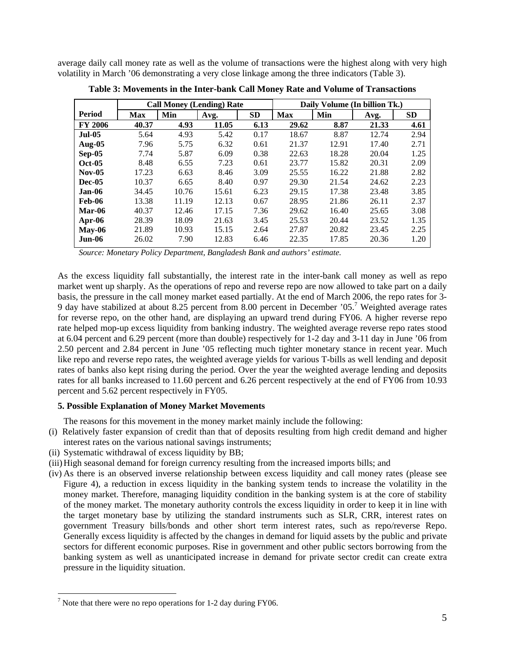average daily call money rate as well as the volume of transactions were the highest along with very high volatility in March '06 demonstrating a very close linkage among the three indicators (Table 3).

|                | <b>Call Money (Lending) Rate</b> |       |       |           | Daily Volume (In billion Tk.) |       |       |           |
|----------------|----------------------------------|-------|-------|-----------|-------------------------------|-------|-------|-----------|
| Period         | Max                              | Min   | Avg.  | <b>SD</b> | <b>Max</b>                    | Min   | Avg.  | <b>SD</b> |
| <b>FY 2006</b> | 40.37                            | 4.93  | 11.05 | 6.13      | 29.62                         | 8.87  | 21.33 | 4.61      |
| <b>Jul-05</b>  | 5.64                             | 4.93  | 5.42  | 0.17      | 18.67                         | 8.87  | 12.74 | 2.94      |
| <b>Aug-05</b>  | 7.96                             | 5.75  | 6.32  | 0.61      | 21.37                         | 12.91 | 17.40 | 2.71      |
| $Sep-05$       | 7.74                             | 5.87  | 6.09  | 0.38      | 22.63                         | 18.28 | 20.04 | 1.25      |
| $Oct-05$       | 8.48                             | 6.55  | 7.23  | 0.61      | 23.77                         | 15.82 | 20.31 | 2.09      |
| $Nov-05$       | 17.23                            | 6.63  | 8.46  | 3.09      | 25.55                         | 16.22 | 21.88 | 2.82      |
| <b>Dec-05</b>  | 10.37                            | 6.65  | 8.40  | 0.97      | 29.30                         | 21.54 | 24.62 | 2.23      |
| Jan-06         | 34.45                            | 10.76 | 15.61 | 6.23      | 29.15                         | 17.38 | 23.48 | 3.85      |
| <b>Feb-06</b>  | 13.38                            | 11.19 | 12.13 | 0.67      | 28.95                         | 21.86 | 26.11 | 2.37      |
| Mar-06         | 40.37                            | 12.46 | 17.15 | 7.36      | 29.62                         | 16.40 | 25.65 | 3.08      |
| $Apr-06$       | 28.39                            | 18.09 | 21.63 | 3.45      | 25.53                         | 20.44 | 23.52 | 1.35      |
| $May-06$       | 21.89                            | 10.93 | 15.15 | 2.64      | 27.87                         | 20.82 | 23.45 | 2.25      |
| $Jun-06$       | 26.02                            | 7.90  | 12.83 | 6.46      | 22.35                         | 17.85 | 20.36 | 1.20      |
|                |                                  |       |       |           |                               |       |       |           |

**Table 3: Movements in the Inter-bank Call Money Rate and Volume of Transactions**

*Source: Monetary Policy Department, Bangladesh Bank and authors' estimate.* 

As the excess liquidity fall substantially, the interest rate in the inter-bank call money as well as repo market went up sharply. As the operations of repo and reverse repo are now allowed to take part on a daily basis, the pressure in the call money market eased partially. At the end of March 2006, the repo rates for 3- 9 day have stabilized at about 8.25 percent from 8.00 percent in December '05.<sup>7</sup> Weighted average rates for reverse repo, on the other hand, are displaying an upward trend during FY06. A higher reverse repo rate helped mop-up excess liquidity from banking industry. The weighted average reverse repo rates stood at 6.04 percent and 6.29 percent (more than double) respectively for 1-2 day and 3-11 day in June '06 from 2.50 percent and 2.84 percent in June '05 reflecting much tighter monetary stance in recent year. Much like repo and reverse repo rates, the weighted average yields for various T-bills as well lending and deposit rates of banks also kept rising during the period. Over the year the weighted average lending and deposits rates for all banks increased to 11.60 percent and 6.26 percent respectively at the end of FY06 from 10.93 percent and 5.62 percent respectively in FY05.

# **5. Possible Explanation of Money Market Movements**

The reasons for this movement in the money market mainly include the following:

- (i) Relatively faster expansion of credit than that of deposits resulting from high credit demand and higher interest rates on the various national savings instruments;
- (ii) Systematic withdrawal of excess liquidity by BB;
- (iii)High seasonal demand for foreign currency resulting from the increased imports bills; and
- (iv) As there is an observed inverse relationship between excess liquidity and call money rates (please see Figure 4), a reduction in excess liquidity in the banking system tends to increase the volatility in the money market. Therefore, managing liquidity condition in the banking system is at the core of stability of the money market. The monetary authority controls the excess liquidity in order to keep it in line with the target monetary base by utilizing the standard instruments such as SLR, CRR, interest rates on government Treasury bills/bonds and other short term interest rates, such as repo/reverse Repo. Generally excess liquidity is affected by the changes in demand for liquid assets by the public and private sectors for different economic purposes. Rise in government and other public sectors borrowing from the banking system as well as unanticipated increase in demand for private sector credit can create extra pressure in the liquidity situation.

1

<sup>&</sup>lt;sup>7</sup> Note that there were no repo operations for 1-2 day during FY06.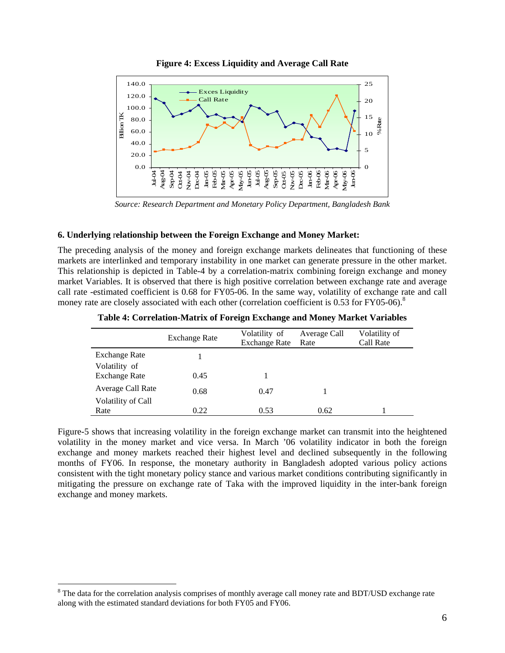

**Figure 4: Excess Liquidity and Average Call Rate**

*Source: Research Department and Monetary Policy Department, Bangladesh Bank* 

# **6. Underlying** r**elationship between the Foreign Exchange and Money Market:**

The preceding analysis of the money and foreign exchange markets delineates that functioning of these markets are interlinked and temporary instability in one market can generate pressure in the other market. This relationship is depicted in Table-4 by a correlation-matrix combining foreign exchange and money market Variables. It is observed that there is high positive correlation between exchange rate and average call rate -estimated coefficient is 0.68 for FY05-06. In the same way, volatility of exchange rate and call money rate are closely associated with each other (correlation coefficient is 0.53 for FY05-06).<sup>8</sup>

|                            | <b>Exchange Rate</b> | Volatility of<br><b>Exchange Rate</b> | Average Call<br>Rate | Volatility of<br>Call Rate |
|----------------------------|----------------------|---------------------------------------|----------------------|----------------------------|
| <b>Exchange Rate</b>       |                      |                                       |                      |                            |
| Volatility of              |                      |                                       |                      |                            |
| <b>Exchange Rate</b>       | 0.45                 |                                       |                      |                            |
| Average Call Rate          | 0.68                 | 0.47                                  |                      |                            |
| Volatility of Call<br>Rate | 0.22                 | 0.53                                  | 0.62                 |                            |

**Table 4: Correlation-Matrix of Foreign Exchange and Money Market Variables** 

Figure-5 shows that increasing volatility in the foreign exchange market can transmit into the heightened volatility in the money market and vice versa. In March '06 volatility indicator in both the foreign exchange and money markets reached their highest level and declined subsequently in the following months of FY06. In response, the monetary authority in Bangladesh adopted various policy actions consistent with the tight monetary policy stance and various market conditions contributing significantly in mitigating the pressure on exchange rate of Taka with the improved liquidity in the inter-bank foreign exchange and money markets.

<u>.</u>

<sup>&</sup>lt;sup>8</sup> The data for the correlation analysis comprises of monthly average call money rate and BDT/USD exchange rate along with the estimated standard deviations for both FY05 and FY06.